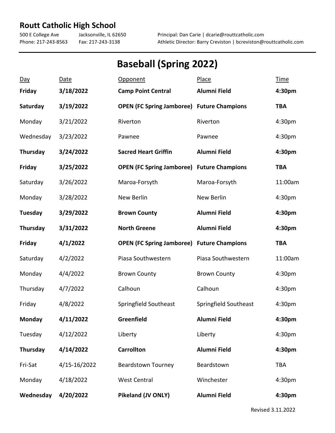## **Routt Catholic High School**

500 E College Ave Jacksonville, IL 62650 Principal: Dan Carie | dcarie@routtcatholic.com Phone: 217-243-8563 Fax: 217-243-3138 Athletic Director: Barry Creviston | bcreviston@routtcatholic.com

## **Baseball (Spring 2022)**

| Day             | <b>Date</b>  | <b>Opponent</b>                                   | Place                 | <b>Time</b> |
|-----------------|--------------|---------------------------------------------------|-----------------------|-------------|
| <b>Friday</b>   | 3/18/2022    | <b>Camp Point Central</b>                         | <b>Alumni Field</b>   | 4:30pm      |
| Saturday        | 3/19/2022    | <b>OPEN (FC Spring Jamboree) Future Champions</b> |                       | <b>TBA</b>  |
| Monday          | 3/21/2022    | Riverton                                          | Riverton              | 4:30pm      |
| Wednesday       | 3/23/2022    | Pawnee                                            | Pawnee                | 4:30pm      |
| Thursday        | 3/24/2022    | <b>Sacred Heart Griffin</b>                       | <b>Alumni Field</b>   | 4:30pm      |
| Friday          | 3/25/2022    | <b>OPEN (FC Spring Jamboree) Future Champions</b> |                       | <b>TBA</b>  |
| Saturday        | 3/26/2022    | Maroa-Forsyth                                     | Maroa-Forsyth         | 11:00am     |
| Monday          | 3/28/2022    | New Berlin                                        | New Berlin            | 4:30pm      |
| Tuesday         | 3/29/2022    | <b>Brown County</b>                               | <b>Alumni Field</b>   | 4:30pm      |
| Thursday        | 3/31/2022    | <b>North Greene</b>                               | <b>Alumni Field</b>   | 4:30pm      |
| <b>Friday</b>   | 4/1/2022     | <b>OPEN (FC Spring Jamboree) Future Champions</b> |                       | <b>TBA</b>  |
| Saturday        | 4/2/2022     | Piasa Southwestern                                | Piasa Southwestern    | 11:00am     |
| Monday          | 4/4/2022     | <b>Brown County</b>                               | <b>Brown County</b>   | 4:30pm      |
| Thursday        | 4/7/2022     | Calhoun                                           | Calhoun               | 4:30pm      |
| Friday          | 4/8/2022     | Springfield Southeast                             | Springfield Southeast | 4:30pm      |
| <b>Monday</b>   | 4/11/2022    | Greenfield                                        | <b>Alumni Field</b>   | 4:30pm      |
| Tuesday         | 4/12/2022    | Liberty                                           | Liberty               | 4:30pm      |
| <b>Thursday</b> | 4/14/2022    | <b>Carrollton</b>                                 | Alumni Field          | 4:30pm      |
| Fri-Sat         | 4/15-16/2022 | <b>Beardstown Tourney</b>                         | Beardstown            | <b>TBA</b>  |
| Monday          | 4/18/2022    | <b>West Central</b>                               | Winchester            | 4:30pm      |
| Wednesday       | 4/20/2022    | Pikeland (JV ONLY)                                | Alumni Field          | 4:30pm      |